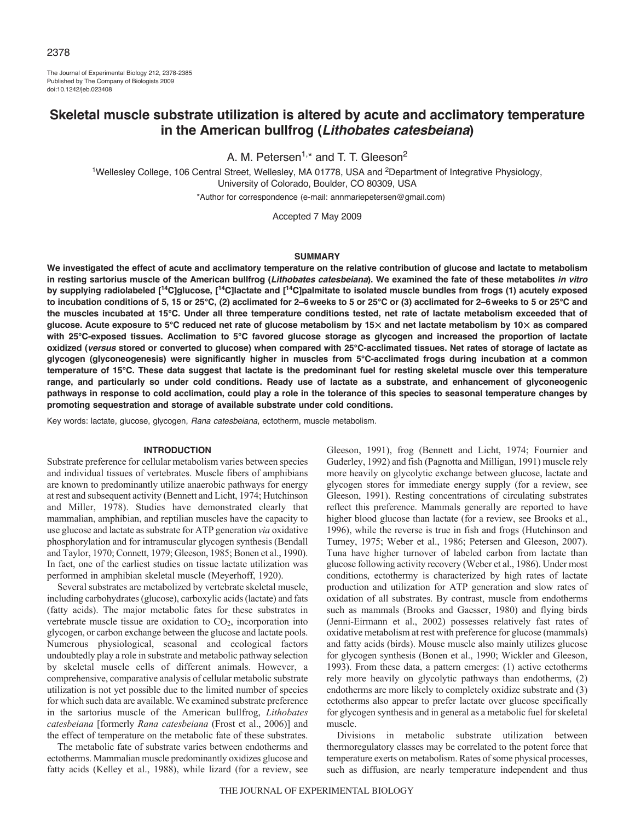The Journal of Experimental Biology 212, 2378-2385 Published by The Company of Biologists 2009 doi:10.1242/jeb.023408

# **Skeletal muscle substrate utilization is altered by acute and acclimatory temperature in the American bullfrog (***Lithobates catesbeiana***)**

A. M. Petersen<sup>1,\*</sup> and T. T. Gleeson<sup>2</sup>

<sup>1</sup>Wellesley College, 106 Central Street, Wellesley, MA 01778, USA and <sup>2</sup>Department of Integrative Physiology, University of Colorado, Boulder, CO 80309, USA \*Author for correspondence (e-mail: annmariepetersen@gmail.com)

Accepted 7 May 2009

#### **SUMMARY**

**We investigated the effect of acute and acclimatory temperature on the relative contribution of glucose and lactate to metabolism in resting sartorius muscle of the American bullfrog (***Lithobates catesbeiana***). We examined the fate of these metabolites** *in vitro* **by supplying radiolabeled [14C]glucose, [14C]lactate and [14C]palmitate to isolated muscle bundles from frogs (1) acutely exposed to incubation conditions of 5, 15 or 25°C, (2) acclimated for 2–6weeks to 5 or 25°C or (3) acclimated for 2–6weeks to 5 or 25°C and the muscles incubated at 15°C. Under all three temperature conditions tested, net rate of lactate metabolism exceeded that of glucose. Acute exposure to 5°C reduced net rate of glucose metabolism by 15**- **and net lactate metabolism by 10**- **as compared with 25°C-exposed tissues. Acclimation to 5°C favored glucose storage as glycogen and increased the proportion of lactate oxidized (***versus* **stored or converted to glucose) when compared with 25°C-acclimated tissues. Net rates of storage of lactate as glycogen (glyconeogenesis) were significantly higher in muscles from 5°C-acclimated frogs during incubation at a common temperature of 15°C. These data suggest that lactate is the predominant fuel for resting skeletal muscle over this temperature range, and particularly so under cold conditions. Ready use of lactate as a substrate, and enhancement of glyconeogenic pathways in response to cold acclimation, could play a role in the tolerance of this species to seasonal temperature changes by promoting sequestration and storage of available substrate under cold conditions.**

Key words: lactate, glucose, glycogen, *Rana catesbeiana*, ectotherm, muscle metabolism.

# **INTRODUCTION**

Substrate preference for cellular metabolism varies between species and individual tissues of vertebrates. Muscle fibers of amphibians are known to predominantly utilize anaerobic pathways for energy at rest and subsequent activity (Bennett and Licht, 1974; Hutchinson and Miller, 1978). Studies have demonstrated clearly that mammalian, amphibian, and reptilian muscles have the capacity to use glucose and lactate as substrate for ATP generation *via* oxidative phosphorylation and for intramuscular glycogen synthesis (Bendall and Taylor, 1970; Connett, 1979; Gleeson, 1985; Bonen et al., 1990). In fact, one of the earliest studies on tissue lactate utilization was performed in amphibian skeletal muscle (Meyerhoff, 1920).

Several substrates are metabolized by vertebrate skeletal muscle, including carbohydrates (glucose), carboxylic acids (lactate) and fats (fatty acids). The major metabolic fates for these substrates in vertebrate muscle tissue are oxidation to  $CO<sub>2</sub>$ , incorporation into glycogen, or carbon exchange between the glucose and lactate pools. Numerous physiological, seasonal and ecological factors undoubtedly play a role in substrate and metabolic pathway selection by skeletal muscle cells of different animals. However, a comprehensive, comparative analysis of cellular metabolic substrate utilization is not yet possible due to the limited number of species for which such data are available. We examined substrate preference in the sartorius muscle of the American bullfrog, *Lithobates catesbeiana* [formerly *Rana catesbeiana* (Frost et al., 2006)] and the effect of temperature on the metabolic fate of these substrates.

The metabolic fate of substrate varies between endotherms and ectotherms. Mammalian muscle predominantly oxidizes glucose and fatty acids (Kelley et al., 1988), while lizard (for a review, see Gleeson, 1991), frog (Bennett and Licht, 1974; Fournier and Guderley, 1992) and fish (Pagnotta and Milligan, 1991) muscle rely more heavily on glycolytic exchange between glucose, lactate and glycogen stores for immediate energy supply (for a review, see Gleeson, 1991). Resting concentrations of circulating substrates reflect this preference. Mammals generally are reported to have higher blood glucose than lactate (for a review, see Brooks et al., 1996), while the reverse is true in fish and frogs (Hutchinson and Turney, 1975; Weber et al., 1986; Petersen and Gleeson, 2007). Tuna have higher turnover of labeled carbon from lactate than glucose following activity recovery (Weber et al., 1986). Under most conditions, ectothermy is characterized by high rates of lactate production and utilization for ATP generation and slow rates of oxidation of all substrates. By contrast, muscle from endotherms such as mammals (Brooks and Gaesser, 1980) and flying birds (Jenni-Eirmann et al., 2002) possesses relatively fast rates of oxidative metabolism at rest with preference for glucose (mammals) and fatty acids (birds). Mouse muscle also mainly utilizes glucose for glycogen synthesis (Bonen et al., 1990; Wickler and Gleeson, 1993). From these data, a pattern emerges: (1) active ectotherms rely more heavily on glycolytic pathways than endotherms, (2) endotherms are more likely to completely oxidize substrate and (3) ectotherms also appear to prefer lactate over glucose specifically for glycogen synthesis and in general as a metabolic fuel for skeletal muscle.

Divisions in metabolic substrate utilization between thermoregulatory classes may be correlated to the potent force that temperature exerts on metabolism. Rates of some physical processes, such as diffusion, are nearly temperature independent and thus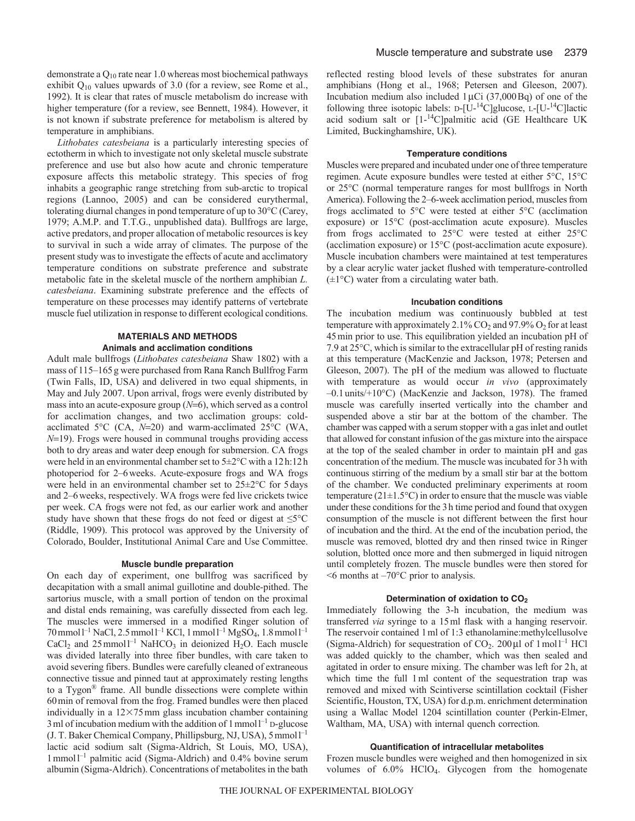demonstrate a Q<sub>10</sub> rate near 1.0 whereas most biochemical pathways exhibit Q10 values upwards of 3.0 (for a review, see Rome et al., 1992). It is clear that rates of muscle metabolism do increase with higher temperature (for a review, see Bennett, 1984). However, it is not known if substrate preference for metabolism is altered by temperature in amphibians.

*Lithobates catesbeiana* is a particularly interesting species of ectotherm in which to investigate not only skeletal muscle substrate preference and use but also how acute and chronic temperature exposure affects this metabolic strategy. This species of frog inhabits a geographic range stretching from sub-arctic to tropical regions (Lannoo, 2005) and can be considered eurythermal, tolerating diurnal changes in pond temperature of up to 30°C (Carey, 1979; A.M.P. and T.T.G., unpublished data). Bullfrogs are large, active predators, and proper allocation of metabolic resources is key to survival in such a wide array of climates. The purpose of the present study was to investigate the effects of acute and acclimatory temperature conditions on substrate preference and substrate metabolic fate in the skeletal muscle of the northern amphibian *L. catesbeiana*. Examining substrate preference and the effects of temperature on these processes may identify patterns of vertebrate muscle fuel utilization in response to different ecological conditions.

# **MATERIALS AND METHODS Animals and acclimation conditions**

Adult male bullfrogs (*Lithobates catesbeiana* Shaw 1802) with a mass of 115–165g were purchased from Rana Ranch Bullfrog Farm (Twin Falls, ID, USA) and delivered in two equal shipments, in May and July 2007. Upon arrival, frogs were evenly distributed by mass into an acute-exposure group  $(N=6)$ , which served as a control for acclimation changes, and two acclimation groups: coldacclimated 5 $\degree$ C (CA, *N*=20) and warm-acclimated 25 $\degree$ C (WA, *N*=19). Frogs were housed in communal troughs providing access both to dry areas and water deep enough for submersion. CA frogs were held in an environmental chamber set to 5±2°C with a 12h:12h photoperiod for 2–6weeks. Acute-exposure frogs and WA frogs were held in an environmental chamber set to 25±2°C for 5days and 2–6weeks, respectively. WA frogs were fed live crickets twice per week. CA frogs were not fed, as our earlier work and another study have shown that these frogs do not feed or digest at  $\leq 5^{\circ}$ C (Riddle, 1909). This protocol was approved by the University of Colorado, Boulder, Institutional Animal Care and Use Committee.

# **Muscle bundle preparation**

On each day of experiment, one bullfrog was sacrificed by decapitation with a small animal guillotine and double-pithed. The sartorius muscle, with a small portion of tendon on the proximal and distal ends remaining, was carefully dissected from each leg. The muscles were immersed in a modified Ringer solution of  $70$  mmol  $l^{-1}$  NaCl, 2.5 mmol  $l^{-1}$  KCl, 1 mmol  $l^{-1}$  MgSO<sub>4</sub>, 1.8 mmol  $l^{-1}$ CaCl<sub>2</sub> and  $25$  mmol<sup>1-1</sup> NaHCO<sub>3</sub> in deionized H<sub>2</sub>O. Each muscle was divided laterally into three fiber bundles, with care taken to avoid severing fibers. Bundles were carefully cleaned of extraneous connective tissue and pinned taut at approximately resting lengths to a Tygon® frame. All bundle dissections were complete within 60min of removal from the frog. Framed bundles were then placed individually in a  $12\times75$  mm glass incubation chamber containing 3 ml of incubation medium with the addition of  $1$  mmol  $1^{-1}$  D-glucose (J. T. Baker Chemical Company, Phillipsburg, NJ, USA), 5mmoll –1 lactic acid sodium salt (Sigma-Aldrich, St Louis, MO, USA), 1mmoll –1 palmitic acid (Sigma-Aldrich) and 0.4% bovine serum albumin (Sigma-Aldrich). Concentrations of metabolites in the bath reflected resting blood levels of these substrates for anuran amphibians (Hong et al., 1968; Petersen and Gleeson, 2007). Incubation medium also included  $1 \mu$ Ci (37,000Bq) of one of the following three isotopic labels:  $D-[U^{-14}C]$ glucose,  $L-[U^{-14}C]$ lactic acid sodium salt or [1-14C]palmitic acid (GE Healthcare UK Limited, Buckinghamshire, UK).

# **Temperature conditions**

Muscles were prepared and incubated under one of three temperature regimen. Acute exposure bundles were tested at either 5°C, 15°C or 25°C (normal temperature ranges for most bullfrogs in North America). Following the 2–6-week acclimation period, muscles from frogs acclimated to 5°C were tested at either 5°C (acclimation exposure) or 15°C (post-acclimation acute exposure). Muscles from frogs acclimated to 25°C were tested at either 25°C (acclimation exposure) or 15°C (post-acclimation acute exposure). Muscle incubation chambers were maintained at test temperatures by a clear acrylic water jacket flushed with temperature-controlled  $(\pm 1^{\circ}C)$  water from a circulating water bath.

#### **Incubation conditions**

The incubation medium was continuously bubbled at test temperature with approximately 2.1%  $CO<sub>2</sub>$  and 97.9%  $O<sub>2</sub>$  for at least 45min prior to use. This equilibration yielded an incubation pH of 7.9 at 25°C, which is similar to the extracellular pH of resting ranids at this temperature (MacKenzie and Jackson, 1978; Petersen and Gleeson, 2007). The pH of the medium was allowed to fluctuate with temperature as would occur *in vivo* (approximately –0.1units/+10°C) (MacKenzie and Jackson, 1978). The framed muscle was carefully inserted vertically into the chamber and suspended above a stir bar at the bottom of the chamber. The chamber was capped with a serum stopper with a gas inlet and outlet that allowed for constant infusion of the gas mixture into the airspace at the top of the sealed chamber in order to maintain pH and gas concentration of the medium. The muscle was incubated for 3h with continuous stirring of the medium by a small stir bar at the bottom of the chamber. We conducted preliminary experiments at room temperature ( $21 \pm 1.5$ °C) in order to ensure that the muscle was viable under these conditions for the 3h time period and found that oxygen consumption of the muscle is not different between the first hour of incubation and the third. At the end of the incubation period, the muscle was removed, blotted dry and then rinsed twice in Ringer solution, blotted once more and then submerged in liquid nitrogen until completely frozen. The muscle bundles were then stored for  $<6$  months at  $-70^{\circ}$ C prior to analysis.

#### **Determination of oxidation to CO2**

Immediately following the 3-h incubation, the medium was transferred *via* syringe to a 15ml flask with a hanging reservoir. The reservoir contained 1ml of 1:3 ethanolamine:methylcellusolve (Sigma-Aldrich) for sequestration of  $CO<sub>2</sub>$ . 200 $\mu$ l of 1 mol<sup>1-1</sup> HCl was added quickly to the chamber, which was then sealed and agitated in order to ensure mixing. The chamber was left for 2h, at which time the full 1ml content of the sequestration trap was removed and mixed with Scintiverse scintillation cocktail (Fisher Scientific, Houston, TX, USA) for d.p.m. enrichment determination using a Wallac Model 1204 scintillation counter (Perkin-Elmer, Waltham, MA, USA) with internal quench correction*.*

# **Quantification of intracellular metabolites**

Frozen muscle bundles were weighed and then homogenized in six volumes of 6.0% HClO4. Glycogen from the homogenate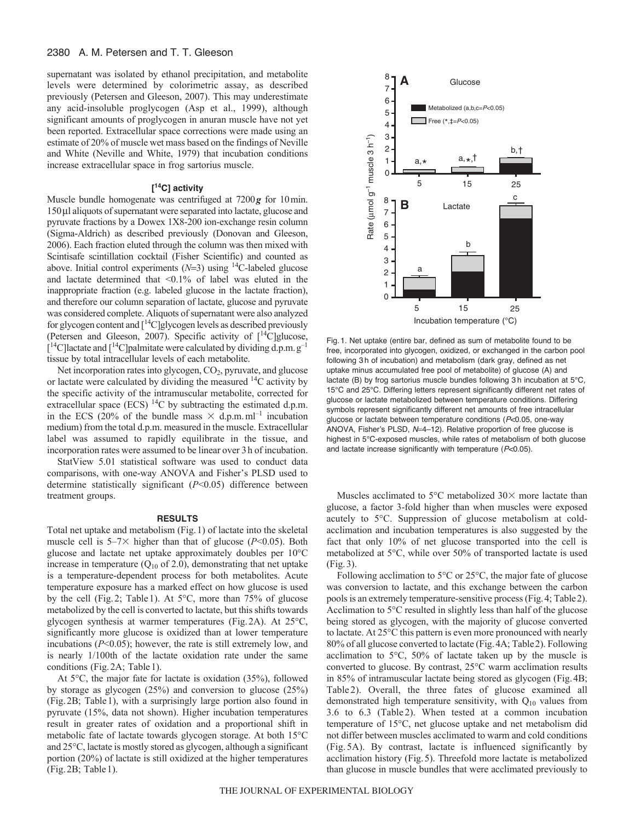# 2380 A. M. Petersen and T. T. Gleeson

supernatant was isolated by ethanol precipitation, and metabolite levels were determined by colorimetric assay, as described previously (Petersen and Gleeson, 2007). This may underestimate any acid-insoluble proglycogen (Asp et al., 1999), although significant amounts of proglycogen in anuran muscle have not yet been reported. Extracellular space corrections were made using an estimate of 20% of muscle wet mass based on the findings of Neville and White (Neville and White, 1979) that incubation conditions increase extracellular space in frog sartorius muscle.

#### **[ 14C] activity**

Muscle bundle homogenate was centrifuged at 7200*g* for 10min. 150 µl aliquots of supernatant were separated into lactate, glucose and pyruvate fractions by a Dowex 1X8-200 ion-exchange resin column (Sigma-Aldrich) as described previously (Donovan and Gleeson, 2006). Each fraction eluted through the column was then mixed with Scintisafe scintillation cocktail (Fisher Scientific) and counted as above. Initial control experiments ( $N=3$ ) using <sup>14</sup>C-labeled glucose and lactate determined that <0.1% of label was eluted in the inappropriate fraction (e.g. labeled glucose in the lactate fraction), and therefore our column separation of lactate, glucose and pyruvate was considered complete. Aliquots of supernatant were also analyzed for glycogen content and  $\lceil {^{14}C} \rceil$ glycogen levels as described previously (Petersen and Gleeson, 2007). Specific activity of  $[14C]$ glucose,  $[14C]$ lactate and  $[14C]$ palmitate were calculated by dividing d.p.m.  $g^{-1}$ tissue by total intracellular levels of each metabolite.

Net incorporation rates into glycogen, CO<sub>2</sub>, pyruvate, and glucose or lactate were calculated by dividing the measured 14C activity by the specific activity of the intramuscular metabolite, corrected for extracellular space (ECS) <sup>14</sup>C by subtracting the estimated d.p.m. in the ECS (20% of the bundle mass  $\times$  d.p.m.ml<sup>-1</sup> incubation medium) from the total d.p.m. measured in the muscle. Extracellular label was assumed to rapidly equilibrate in the tissue, and incorporation rates were assumed to be linear over 3h of incubation.

StatView 5.01 statistical software was used to conduct data comparisons, with one-way ANOVA and Fisher's PLSD used to determine statistically significant (*P*<0.05) difference between treatment groups.

#### **RESULTS**

Total net uptake and metabolism (Fig.1) of lactate into the skeletal muscle cell is  $5-7\times$  higher than that of glucose ( $P<0.05$ ). Both glucose and lactate net uptake approximately doubles per 10°C increase in temperature ( $Q_{10}$  of 2.0), demonstrating that net uptake is a temperature-dependent process for both metabolites. Acute temperature exposure has a marked effect on how glucose is used by the cell (Fig.2; Table1). At 5°C, more than 75% of glucose metabolized by the cell is converted to lactate, but this shifts towards glycogen synthesis at warmer temperatures (Fig.2A). At 25°C, significantly more glucose is oxidized than at lower temperature incubations (*P*<0.05); however, the rate is still extremely low, and is nearly 1/100th of the lactate oxidation rate under the same conditions (Fig.2A; Table1).

At 5°C, the major fate for lactate is oxidation (35%), followed by storage as glycogen (25%) and conversion to glucose (25%) (Fig.2B; Table1), with a surprisingly large portion also found in pyruvate (15%, data not shown). Higher incubation temperatures result in greater rates of oxidation and a proportional shift in metabolic fate of lactate towards glycogen storage. At both 15°C and 25°C, lactate is mostly stored as glycogen, although a significant portion (20%) of lactate is still oxidized at the higher temperatures (Fig.2B; Table1).



Fig. 1. Net uptake (entire bar, defined as sum of metabolite found to be free, incorporated into glycogen, oxidized, or exchanged in the carbon pool following 3 h of incubation) and metabolism (dark gray, defined as net uptake minus accumulated free pool of metabolite) of glucose (A) and lactate (B) by frog sartorius muscle bundles following 3 h incubation at 5°C, 15°C and 25°C. Differing letters represent significantly different net rates of glucose or lactate metabolized between temperature conditions. Differing symbols represent significantly different net amounts of free intracellular glucose or lactate between temperature conditions (*P*<0.05, one-way ANOVA, Fisher's PLSD, *N*=4-12). Relative proportion of free glucose is highest in 5°C-exposed muscles, while rates of metabolism of both glucose and lactate increase significantly with temperature (*P*<0.05).

Muscles acclimated to 5 $\degree$ C metabolized 30 $\times$  more lactate than glucose, a factor 3-fold higher than when muscles were exposed acutely to 5°C. Suppression of glucose metabolism at coldacclimation and incubation temperatures is also suggested by the fact that only 10% of net glucose transported into the cell is metabolized at 5°C, while over 50% of transported lactate is used (Fig.3).

Following acclimation to 5°C or 25°C, the major fate of glucose was conversion to lactate, and this exchange between the carbon pools is an extremely temperature-sensitive process (Fig.4; Table2). Acclimation to 5°C resulted in slightly less than half of the glucose being stored as glycogen, with the majority of glucose converted to lactate. At 25°C this pattern is even more pronounced with nearly 80% of all glucose converted to lactate (Fig.4A; Table2). Following acclimation to 5°C, 50% of lactate taken up by the muscle is converted to glucose. By contrast, 25°C warm acclimation results in 85% of intramuscular lactate being stored as glycogen (Fig.4B; Table 2). Overall, the three fates of glucose examined all demonstrated high temperature sensitivity, with  $Q_{10}$  values from 3.6 to 6.3 (Table 2). When tested at a common incubation temperature of 15°C, net glucose uptake and net metabolism did not differ between muscles acclimated to warm and cold conditions (Fig. 5A). By contrast, lactate is influenced significantly by acclimation history (Fig.5). Threefold more lactate is metabolized than glucose in muscle bundles that were acclimated previously to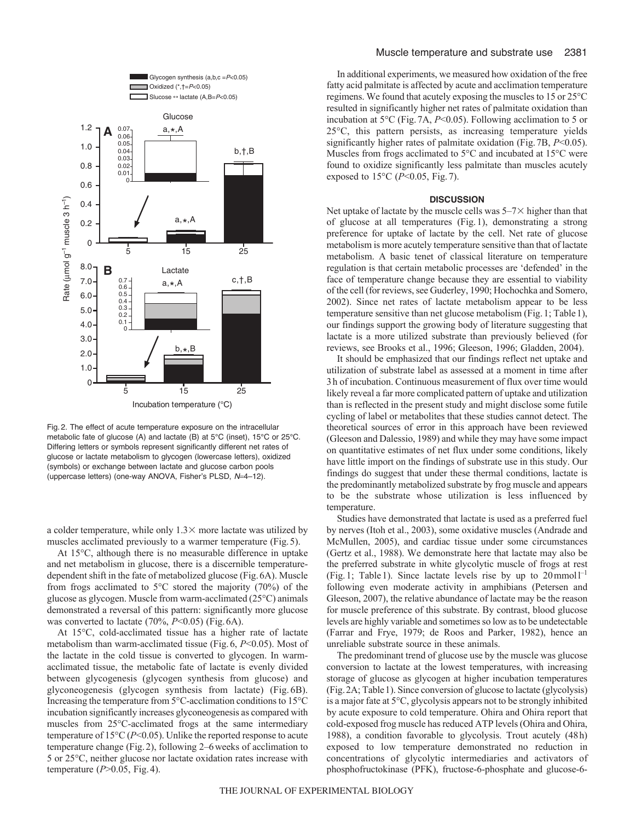

Fig. 2. The effect of acute temperature exposure on the intracellular metabolic fate of glucose (A) and lactate (B) at 5°C (inset), 15°C or 25°C. Differing letters or symbols represent significantly different net rates of glucose or lactate metabolism to glycogen (lowercase letters), oxidized (symbols) or exchange between lactate and glucose carbon pools (uppercase letters) (one-way ANOVA, Fisher's PLSD, N=4-12).

a colder temperature, while only  $1.3 \times$  more lactate was utilized by muscles acclimated previously to a warmer temperature (Fig.5).

At 15°C, although there is no measurable difference in uptake and net metabolism in glucose, there is a discernible temperaturedependent shift in the fate of metabolized glucose (Fig.6A). Muscle from frogs acclimated to 5°C stored the majority (70%) of the glucose as glycogen. Muscle from warm-acclimated (25°C) animals demonstrated a reversal of this pattern: significantly more glucose was converted to lactate (70%, *P*<0.05) (Fig. 6A).

At 15°C, cold-acclimated tissue has a higher rate of lactate metabolism than warm-acclimated tissue (Fig.6, *P*<0.05). Most of the lactate in the cold tissue is converted to glycogen. In warmacclimated tissue, the metabolic fate of lactate is evenly divided between glycogenesis (glycogen synthesis from glucose) and glyconeogenesis (glycogen synthesis from lactate) (Fig. 6B). Increasing the temperature from 5°C-acclimation conditions to 15°C incubation significantly increases glyconeogenesis as compared with muscles from 25°C-acclimated frogs at the same intermediary temperature of 15°C (*P*<0.05). Unlike the reported response to acute temperature change (Fig.2), following 2–6weeks of acclimation to 5 or 25°C, neither glucose nor lactate oxidation rates increase with temperature (*P*>0.05, Fig.4).

In additional experiments, we measured how oxidation of the free fatty acid palmitate is affected by acute and acclimation temperature regimens. We found that acutely exposing the muscles to 15 or 25°C resulted in significantly higher net rates of palmitate oxidation than incubation at 5°C (Fig.7A, *P*<0.05). Following acclimation to 5 or 25°C, this pattern persists, as increasing temperature yields significantly higher rates of palmitate oxidation (Fig.7B, *P*<0.05). Muscles from frogs acclimated to 5°C and incubated at 15°C were found to oxidize significantly less palmitate than muscles acutely exposed to 15°C (*P*<0.05, Fig.7).

#### **DISCUSSION**

Net uptake of lactate by the muscle cells was  $5-7\times$  higher than that of glucose at all temperatures (Fig.1), demonstrating a strong preference for uptake of lactate by the cell. Net rate of glucose metabolism is more acutely temperature sensitive than that of lactate metabolism. A basic tenet of classical literature on temperature regulation is that certain metabolic processes are 'defended' in the face of temperature change because they are essential to viability of the cell (for reviews, see Guderley, 1990; Hochochka and Somero, 2002). Since net rates of lactate metabolism appear to be less temperature sensitive than net glucose metabolism (Fig.1; Table1), our findings support the growing body of literature suggesting that lactate is a more utilized substrate than previously believed (for reviews, see Brooks et al., 1996; Gleeson, 1996; Gladden, 2004).

It should be emphasized that our findings reflect net uptake and utilization of substrate label as assessed at a moment in time after 3h of incubation. Continuous measurement of flux over time would likely reveal a far more complicated pattern of uptake and utilization than is reflected in the present study and might disclose some futile cycling of label or metabolites that these studies cannot detect. The theoretical sources of error in this approach have been reviewed (Gleeson and Dalessio, 1989) and while they may have some impact on quantitative estimates of net flux under some conditions, likely have little import on the findings of substrate use in this study. Our findings do suggest that under these thermal conditions, lactate is the predominantly metabolized substrate by frog muscle and appears to be the substrate whose utilization is less influenced by temperature.

Studies have demonstrated that lactate is used as a preferred fuel by nerves (Itoh et al., 2003), some oxidative muscles (Andrade and McMullen, 2005), and cardiac tissue under some circumstances (Gertz et al., 1988). We demonstrate here that lactate may also be the preferred substrate in white glycolytic muscle of frogs at rest (Fig. 1; Table 1). Since lactate levels rise by up to  $20 \text{mmol}1^{-1}$ following even moderate activity in amphibians (Petersen and Gleeson, 2007), the relative abundance of lactate may be the reason for muscle preference of this substrate. By contrast, blood glucose levels are highly variable and sometimes so low as to be undetectable (Farrar and Frye, 1979; de Roos and Parker, 1982), hence an unreliable substrate source in these animals.

The predominant trend of glucose use by the muscle was glucose conversion to lactate at the lowest temperatures, with increasing storage of glucose as glycogen at higher incubation temperatures (Fig.2A; Table1). Since conversion of glucose to lactate (glycolysis) is a major fate at 5°C, glycolysis appears not to be strongly inhibited by acute exposure to cold temperature. Ohira and Ohira report that cold-exposed frog muscle has reduced ATP levels (Ohira and Ohira, 1988), a condition favorable to glycolysis. Trout acutely (48h) exposed to low temperature demonstrated no reduction in concentrations of glycolytic intermediaries and activators of phosphofructokinase (PFK), fructose-6-phosphate and glucose-6-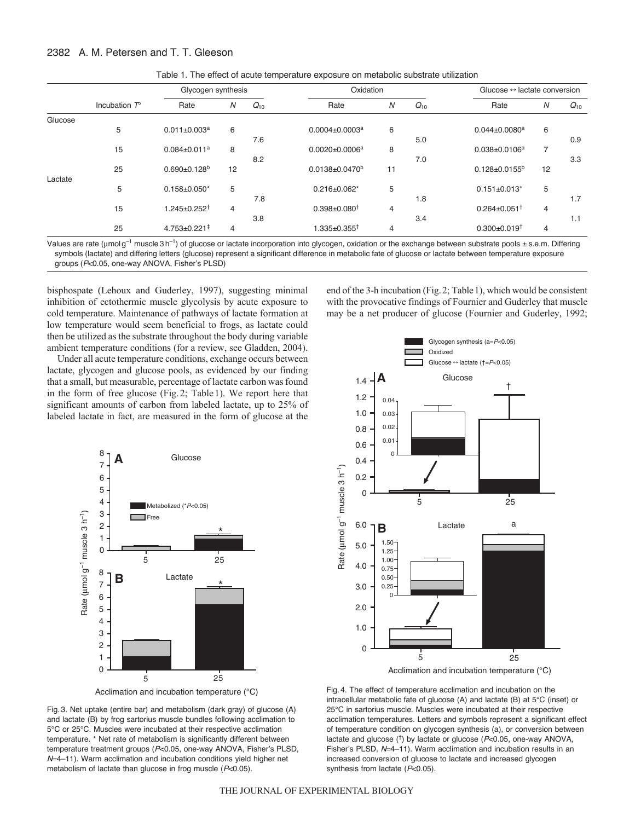# 2382 A. M. Petersen and T. T. Gleeson

|         | Incubation $T^{\circ}$ | Glycogen synthesis             |    |          | Oxidation                        |                |          | Glucose $\leftrightarrow$ lactate conversion |    |          |
|---------|------------------------|--------------------------------|----|----------|----------------------------------|----------------|----------|----------------------------------------------|----|----------|
|         |                        | Rate                           | N  | $Q_{10}$ | Rate                             | N              | $Q_{10}$ | Rate                                         | N  | $Q_{10}$ |
| Glucose |                        |                                |    |          |                                  |                |          |                                              |    |          |
|         | 5                      | $0.011 \pm 0.003$ <sup>a</sup> | 6  |          | $0.0004 \pm 0.0003$ <sup>a</sup> | 6              |          | $0.044 \pm 0.0080$ <sup>a</sup>              | 6  |          |
|         |                        |                                |    | 7.6      |                                  |                | 5.0      |                                              |    | 0.9      |
|         | 15                     | $0.084 \pm 0.011^a$            | 8  |          | $0.0020 \pm 0.0006^a$            | 8              |          | $0.038 \pm 0.0106^a$                         | 7  |          |
|         |                        |                                |    | 8.2      |                                  |                | 7.0      |                                              |    | 3.3      |
|         | 25                     | $0.690 \pm 0.128$ <sup>b</sup> | 12 |          | $0.0138 \pm 0.0470^b$            | 11             |          | $0.128 \pm 0.0155^b$                         | 12 |          |
| Lactate |                        |                                |    |          |                                  |                |          |                                              |    |          |
|         | 5                      | $0.158 \pm 0.050$ *            | 5  |          | $0.216 \pm 0.062$ *              | 5              |          | $0.151 \pm 0.013$ *                          | 5  |          |
|         |                        |                                |    | 7.8      |                                  |                | 1.8      |                                              |    | 1.7      |
|         | 15                     | $1.245 \pm 0.252$ <sup>†</sup> | 4  |          | $0.398 \pm 0.080^{\dagger}$      | $\overline{4}$ |          | $0.264 \pm 0.051^{\dagger}$                  | 4  |          |
|         |                        |                                |    | 3.8      |                                  |                | 3.4      |                                              |    | 1.1      |
|         | 25                     | $4.753 \pm 0.221^{\ddagger}$   | 4  |          | 1.335 $\pm$ 0.355 $^{\dagger}$   | 4              |          | $0.300 + 0.019$ <sup>t</sup>                 | 4  |          |

Table 1. The effect of acute temperature exposure on metabolic substrate utilization

Values are rate (umol g<sup>-1</sup> muscle 3 h<sup>-1</sup>) of glucose or lactate incorporation into glycogen, oxidation or the exchange between substrate pools  $\pm$  s.e.m. Differing symbols (lactate) and differing letters (glucose) represent a significant difference in metabolic fate of glucose or lactate between temperature exposure groups (*P*<0.05, one-way ANOVA, Fisher's PLSD)

bisphospate (Lehoux and Guderley, 1997), suggesting minimal inhibition of ectothermic muscle glycolysis by acute exposure to cold temperature. Maintenance of pathways of lactate formation at low temperature would seem beneficial to frogs, as lactate could then be utilized as the substrate throughout the body during variable ambient temperature conditions (for a review, see Gladden, 2004).

Under all acute temperature conditions, exchange occurs between lactate, glycogen and glucose pools, as evidenced by our finding that a small, but measurable, percentage of lactate carbon was found in the form of free glucose (Fig.2; Table1). We report here that significant amounts of carbon from labeled lactate, up to 25% of labeled lactate in fact, are measured in the form of glucose at the



Acclimation and incubation temperature (°C)

Fig. 3. Net uptake (entire bar) and metabolism (dark gray) of glucose (A) and lactate (B) by frog sartorius muscle bundles following acclimation to 5°C or 25°C. Muscles were incubated at their respective acclimation temperature. \* Net rate of metabolism is significantly different between temperature treatment groups (*P*<0.05, one-way ANOVA, Fisher's PLSD, *N*=4-11). Warm acclimation and incubation conditions yield higher net metabolism of lactate than glucose in frog muscle (*P*<0.05).

Glycogen synthesis (a=*P*<0.05) Oxidized Glucose } lactate (†=*P*<0.05) **A Glucose** 1.4 † 1.2 0.04 1.0 0.03 0.02 0.8 0.01 0.6 0 0.4 Rate (umol g<sup>-1</sup> muscle 3 h<sup>-1</sup>) Rate (µmol g<sup>-1</sup> muscle 3 h<sup>-1</sup>) 0.2 0  $25$ 5 6.0 a Lactate **B** 1.50 5.0 1.25  $1.00 -$ 4.0 0.75 0.50 0.25 3.0 0 2.0 1.0 0 5 25

end of the 3-h incubation (Fig.2; Table1), which would be consistent with the provocative findings of Fournier and Guderley that muscle may be a net producer of glucose (Fournier and Guderley, 1992;

Acclimation and incubation temperature (°C)

Fig. 4. The effect of temperature acclimation and incubation on the intracellular metabolic fate of glucose (A) and lactate (B) at 5°C (inset) or 25°C in sartorius muscle. Muscles were incubated at their respective acclimation temperatures. Letters and symbols represent a significant effect of temperature condition on glycogen synthesis (a), or conversion between lactate and glucose (†) by lactate or glucose (*P*<0.05, one-way ANOVA, Fisher's PLSD,  $N=4-11$ ). Warm acclimation and incubation results in an increased conversion of glucose to lactate and increased glycogen synthesis from lactate (*P*<0.05).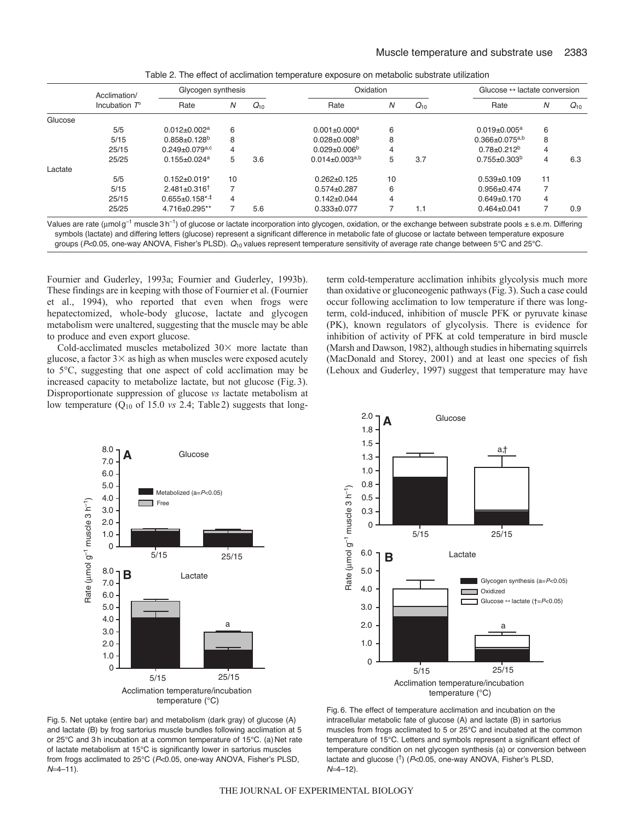| Acclimation/<br>Incubation $T^{\circ}$ | Glycogen synthesis               |                |          | Oxidation                      |    |          | Glucose $\leftrightarrow$ lactate conversion |    |          |
|----------------------------------------|----------------------------------|----------------|----------|--------------------------------|----|----------|----------------------------------------------|----|----------|
|                                        | Rate                             | N              | $Q_{10}$ | Rate                           | N  | $Q_{10}$ | Rate                                         | N  | $Q_{10}$ |
|                                        |                                  |                |          |                                |    |          |                                              |    |          |
| 5/5                                    | $0.012 \pm 0.002$ <sup>a</sup>   | 6              |          | $0.001 \pm 0.000$ <sup>a</sup> | 6  |          | $0.019 \pm 0.005^a$                          | 6  |          |
| 5/15                                   | $0.858 \pm 0.128$ <sup>b</sup>   | 8              |          | $0.028 \pm 0.008$ <sup>b</sup> | 8  |          | $0.366 \pm 0.075$ <sup>a,b</sup>             | 8  |          |
| 25/15                                  | $0.249 \pm 0.079$ <sup>a,c</sup> | $\overline{4}$ |          | $0.029 + 0.006^b$              | 4  |          | $0.78 \pm 0.212^b$                           | 4  |          |
| 25/25                                  | $0.155 \pm 0.024$ <sup>a</sup>   | 5              | 3.6      | $0.014 \pm 0.003^{a,b}$        | 5  | 3.7      | $0.755 \pm 0.303^b$                          | 4  | 6.3      |
|                                        |                                  |                |          |                                |    |          |                                              |    |          |
| 5/5                                    | $0.152 \pm 0.019$ *              | 10             |          | $0.262 + 0.125$                | 10 |          | $0.539+0.109$                                | 11 |          |
| 5/15                                   | $2.481 + 0.316$ <sup>t</sup>     |                |          | $0.574 + 0.287$                | 6  |          | $0.956 \pm 0.474$                            |    |          |
| 25/15                                  | $0.655 \pm 0.158$ *,‡            | 4              |          | $0.142 \pm 0.044$              | 4  |          | $0.649+0.170$                                | 4  |          |
| 25/25                                  | 4.716±0.295**                    |                | 5.6      | $0.333 \pm 0.077$              |    | 1.1      | $0.464 \pm 0.041$                            |    | 0.9      |
|                                        |                                  |                |          |                                |    |          |                                              |    |          |

Table 2. The effect of acclimation temperature exposure on metabolic substrate utilization

Values are rate ( $\mu$ mol g<sup>-1</sup> muscle 3 h<sup>-1</sup>) of glucose or lactate incorporation into glycogen, oxidation, or the exchange between substrate pools ± s.e.m. Differing symbols (lactate) and differing letters (glucose) represent a significant difference in metabolic fate of glucose or lactate between temperature exposure groups (P<0.05, one-way ANOVA, Fisher's PLSD).  $Q_{10}$  values represent temperature sensitivity of average rate change between 5°C and 25°C.

Fournier and Guderley, 1993a; Fournier and Guderley, 1993b). These findings are in keeping with those of Fournier et al. (Fournier et al., 1994), who reported that even when frogs were hepatectomized, whole-body glucose, lactate and glycogen metabolism were unaltered, suggesting that the muscle may be able to produce and even export glucose.

Cold-acclimated muscles metabolized  $30\times$  more lactate than glucose, a factor  $3\times$  as high as when muscles were exposed acutely to 5°C, suggesting that one aspect of cold acclimation may be increased capacity to metabolize lactate, but not glucose (Fig.3). Disproportionate suppression of glucose *vs* lactate metabolism at low temperature (Q10 of 15.0 *vs* 2.4; Table2) suggests that longterm cold-temperature acclimation inhibits glycolysis much more than oxidative or gluconeogenic pathways (Fig.3). Such a case could occur following acclimation to low temperature if there was longterm, cold-induced, inhibition of muscle PFK or pyruvate kinase (PK), known regulators of glycolysis. There is evidence for inhibition of activity of PFK at cold temperature in bird muscle (Marsh and Dawson, 1982), although studies in hibernating squirrels (MacDonald and Storey, 2001) and at least one species of fish (Lehoux and Guderley, 1997) suggest that temperature may have





Fig. 5. Net uptake (entire bar) and metabolism (dark gray) of glucose (A) and lactate (B) by frog sartorius muscle bundles following acclimation at 5 or 25°C and 3 h incubation at a common temperature of 15°C. (a) Net rate of lactate metabolism at 15°C is significantly lower in sartorius muscles from frogs acclimated to 25°C (*P*<0.05, one-way ANOVA, Fisher's PLSD, *N*=4-11).

Fig. 6. The effect of temperature acclimation and incubation on the intracellular metabolic fate of glucose (A) and lactate (B) in sartorius muscles from frogs acclimated to 5 or 25°C and incubated at the common temperature of 15°C. Letters and symbols represent a significant effect of temperature condition on net glycogen synthesis (a) or conversion between lactate and glucose (†) (*P*<0.05, one-way ANOVA, Fisher's PLSD,  $N=4-12$ ).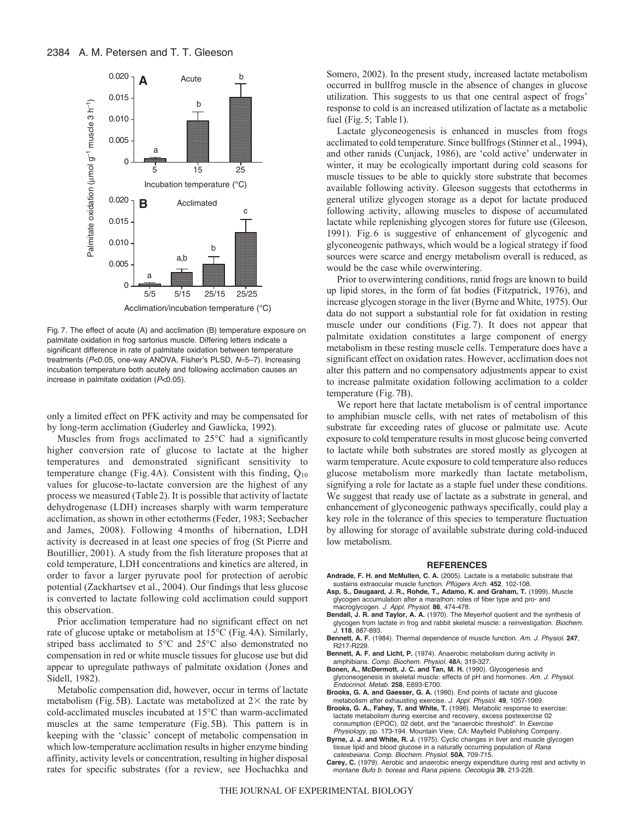

Acclimation/incubation temperature (°C)

Fig. 7. The effect of acute (A) and acclimation (B) temperature exposure on palmitate oxidation in frog sartorius muscle. Differing letters indicate a significant difference in rate of palmitate oxidation between temperature treatments (P<0.05, one-way ANOVA, Fisher's PLSD, N=5-7). Increasing incubation temperature both acutely and following acclimation causes an increase in palmitate oxidation (*P*<0.05).

only a limited effect on PFK activity and may be compensated for by long-term acclimation (Guderley and Gawlicka, 1992).

Muscles from frogs acclimated to 25°C had a significantly higher conversion rate of glucose to lactate at the higher temperatures and demonstrated significant sensitivity to temperature change (Fig. 4A). Consistent with this finding,  $Q_{10}$ values for glucose-to-lactate conversion are the highest of any process we measured (Table 2). It is possible that activity of lactate dehydrogenase (LDH) increases sharply with warm temperature acclimation, as shown in other ectotherms (Feder, 1983; Seebacher and James, 2008). Following 4months of hibernation, LDH activity is decreased in at least one species of frog (St Pierre and Boutillier, 2001). A study from the fish literature proposes that at cold temperature, LDH concentrations and kinetics are altered, in order to favor a larger pyruvate pool for protection of aerobic potential (Zackhartsev et al., 2004). Our findings that less glucose is converted to lactate following cold acclimation could support this observation.

Prior acclimation temperature had no significant effect on net rate of glucose uptake or metabolism at 15°C (Fig.4A). Similarly, striped bass acclimated to 5°C and 25°C also demonstrated no compensation in red or white muscle tissues for glucose use but did appear to upregulate pathways of palmitate oxidation (Jones and Sidell, 1982).

Metabolic compensation did, however, occur in terms of lactate metabolism (Fig. 5B). Lactate was metabolized at  $2\times$  the rate by cold-acclimated muscles incubated at 15°C than warm-acclimated muscles at the same temperature (Fig.5B). This pattern is in keeping with the 'classic' concept of metabolic compensation in which low-temperature acclimation results in higher enzyme binding affinity, activity levels or concentration, resulting in higher disposal rates for specific substrates (for a review, see Hochachka and Somero, 2002). In the present study, increased lactate metabolism occurred in bullfrog muscle in the absence of changes in glucose utilization. This suggests to us that one central aspect of frogs' response to cold is an increased utilization of lactate as a metabolic fuel (Fig. 5; Table 1).

Lactate glyconeogenesis is enhanced in muscles from frogs acclimated to cold temperature. Since bullfrogs (Stinner et al., 1994), and other ranids (Cunjack, 1986), are 'cold active' underwater in winter, it may be ecologically important during cold seasons for muscle tissues to be able to quickly store substrate that becomes available following activity. Gleeson suggests that ectotherms in general utilize glycogen storage as a depot for lactate produced following activity, allowing muscles to dispose of accumulated lactate while replenishing glycogen stores for future use (Gleeson, 1991). Fig.6 is suggestive of enhancement of glycogenic and glyconeogenic pathways, which would be a logical strategy if food sources were scarce and energy metabolism overall is reduced, as would be the case while overwintering.

Prior to overwintering conditions, ranid frogs are known to build up lipid stores, in the form of fat bodies (Fitzpatrick, 1976), and increase glycogen storage in the liver (Byrne and White, 1975). Our data do not support a substantial role for fat oxidation in resting muscle under our conditions (Fig. 7). It does not appear that palmitate oxidation constitutes a large component of energy metabolism in these resting muscle cells. Temperature does have a significant effect on oxidation rates. However, acclimation does not alter this pattern and no compensatory adjustments appear to exist to increase palmitate oxidation following acclimation to a colder temperature (Fig.7B).

We report here that lactate metabolism is of central importance to amphibian muscle cells, with net rates of metabolism of this substrate far exceeding rates of glucose or palmitate use. Acute exposure to cold temperature results in most glucose being converted to lactate while both substrates are stored mostly as glycogen at warm temperature. Acute exposure to cold temperature also reduces glucose metabolism more markedly than lactate metabolism, signifying a role for lactate as a staple fuel under these conditions. We suggest that ready use of lactate as a substrate in general, and enhancement of glyconeogenic pathways specifically, could play a key role in the tolerance of this species to temperature fluctuation by allowing for storage of available substrate during cold-induced low metabolism.

#### **REFERENCES**

- **Andrade, F. H. and McMullen, C. A.** (2005). Lactate is a metabolic substrate that sustains extraocular muscle function. *Pflügers Arch.* **452**, 102-108.
- **Asp, S., Daugaard, J. R., Rohde, T., Adamo, K. and Graham, T.** (1999). Muscle glycogen accumulation after a marathon: roles of fiber type and pro- and macroglycogen. *J. Appl. Physiol.* **86**, 474-478.
- **Bendall, J. R. and Taylor, A. A.** (1970). The Meyerhof quotient and the synthesis of glycogen from lactate in frog and rabbit skeletal muscle: a reinvestigation. *Biochem. J.* **118**, 887-893.
- **Bennett, A. F.** (1984). Thermal dependence of muscle function. *Am. J. Physiol*. **247**, R217-R229.
- **Bennett, A. F. and Licht, P.** (1974). Anaerobic metabolism during activity in amphibians. *Comp. Biochem. Physiol*. **48**A, 319-327.
- **Bonen, A., McDermott, J. C. and Tan, M. H.** (1990). Glycogenesis and glyconeogenesis in skeletal muscle: effects of pH and hormones. *Am. J. Physiol. Endocrinol. Metab*. **258**, E693-E700.
- **Brooks, G. A. and Gaesser, G. A.** (1980). End points of lactate and glucose metabolism after exhausting exercise. *J. Appl. Physiol*. **49**, 1057-1069.
- **Brooks, G. A., Fahey, T. and White, T.** (1996). Metabolic response to exercise: lactate metabolism during exercise and recovery, excess postexercise 02 consumption (EPOC), 02 debt, and the "anaerobic threshold". In *Exercise Physiology*, pp. 173-194. Mountain View, CA: Mayfield Publishing Company.
- **Byrne, J. J. and White, R. J.** (1975). Cyclic changes in liver and muscle glycogen tissue lipid and blood glucose in a naturally occurring population of *Rana catesbeiana*. *Comp. Biochem. Physiol*. **50A**, 709-715.
- **Carey, C.** (1979). Aerobic and anaerobic energy expenditure during rest and activity in montane *Bufo b. boreas* and *Rana pipiens*. *Oecologia* **39**, 213-228.